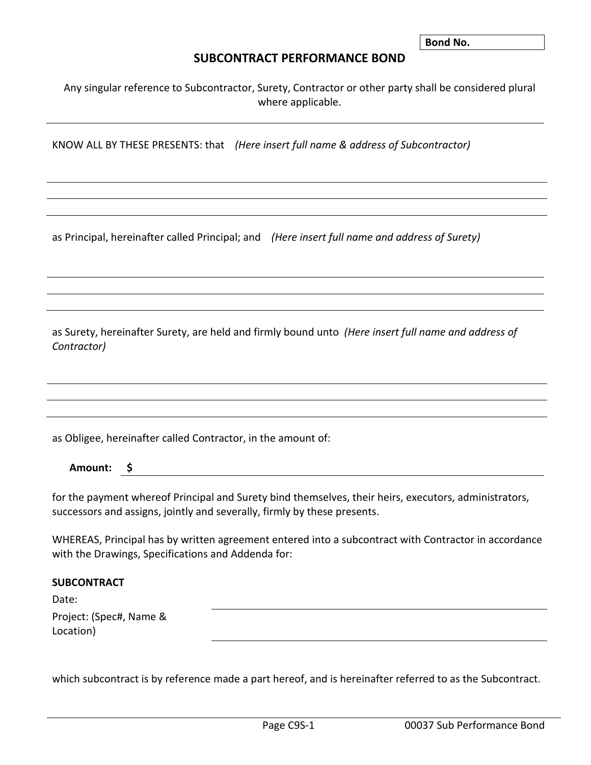**Bond No.** 

## **SUBCONTRACT PERFORMANCE BOND**

Any singular reference to Subcontractor, Surety, Contractor or other party shall be considered plural where applicable.

KNOW ALL BY THESE PRESENTS: that *(Here insert full name & address of Subcontractor)*

as Principal, hereinafter called Principal; and *(Here insert full name and address of Surety)*

as Surety, hereinafter Surety, are held and firmly bound unto *(Here insert full name and address of Contractor)*

as Obligee, hereinafter called Contractor, in the amount of:

**Amount: \$**

for the payment whereof Principal and Surety bind themselves, their heirs, executors, administrators, successors and assigns, jointly and severally, firmly by these presents.

WHEREAS, Principal has by written agreement entered into a subcontract with Contractor in accordance with the Drawings, Specifications and Addenda for:

## **SUBCONTRACT**

Date:

Project: (Spec#, Name & Location)

which subcontract is by reference made a part hereof, and is hereinafter referred to as the Subcontract.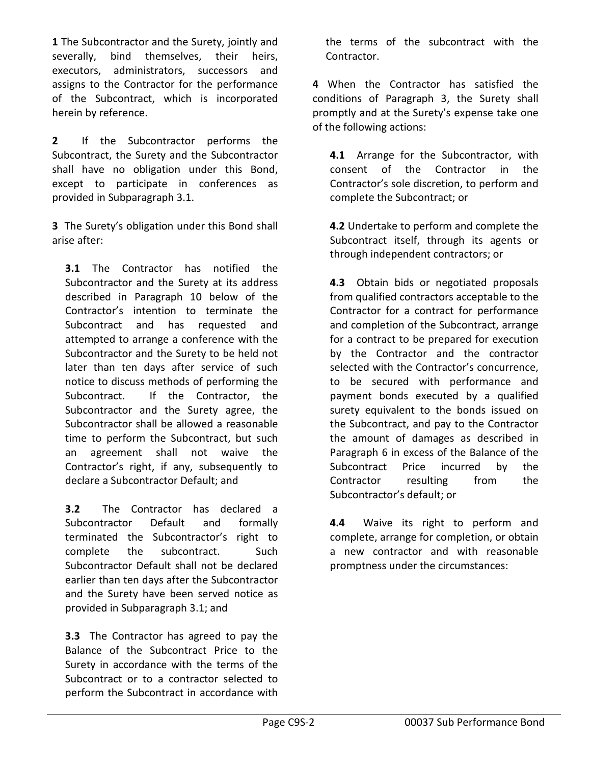**1** The Subcontractor and the Surety, jointly and severally, bind themselves, their heirs, executors, administrators, successors and assigns to the Contractor for the performance of the Subcontract, which is incorporated herein by reference.

**2** If the Subcontractor performs the Subcontract, the Surety and the Subcontractor shall have no obligation under this Bond, except to participate in conferences as provided in Subparagraph 3.1.

**3** The Surety's obligation under this Bond shall arise after:

**3.1** The Contractor has notified the Subcontractor and the Surety at its address described in Paragraph 10 below of the Contractor's intention to terminate the Subcontract and has requested and attempted to arrange a conference with the Subcontractor and the Surety to be held not later than ten days after service of such notice to discuss methods of performing the Subcontract. If the Contractor, the Subcontractor and the Surety agree, the Subcontractor shall be allowed a reasonable time to perform the Subcontract, but such an agreement shall not waive the Contractor's right, if any, subsequently to declare a Subcontractor Default; and

**3.2** The Contractor has declared a Subcontractor Default and formally terminated the Subcontractor's right to complete the subcontract. Such Subcontractor Default shall not be declared earlier than ten days after the Subcontractor and the Surety have been served notice as provided in Subparagraph 3.1; and

**3.3** The Contractor has agreed to pay the Balance of the Subcontract Price to the Surety in accordance with the terms of the Subcontract or to a contractor selected to perform the Subcontract in accordance with the terms of the subcontract with the Contractor.

**4** When the Contractor has satisfied the conditions of Paragraph 3, the Surety shall promptly and at the Surety's expense take one of the following actions:

**4.1** Arrange for the Subcontractor, with consent of the Contractor in the Contractor's sole discretion, to perform and complete the Subcontract; or

**4.2** Undertake to perform and complete the Subcontract itself, through its agents or through independent contractors; or

**4.3** Obtain bids or negotiated proposals from qualified contractors acceptable to the Contractor for a contract for performance and completion of the Subcontract, arrange for a contract to be prepared for execution by the Contractor and the contractor selected with the Contractor's concurrence, to be secured with performance and payment bonds executed by a qualified surety equivalent to the bonds issued on the Subcontract, and pay to the Contractor the amount of damages as described in Paragraph 6 in excess of the Balance of the Subcontract Price incurred by the Contractor resulting from the Subcontractor's default; or

**4.4** Waive its right to perform and complete, arrange for completion, or obtain a new contractor and with reasonable promptness under the circumstances: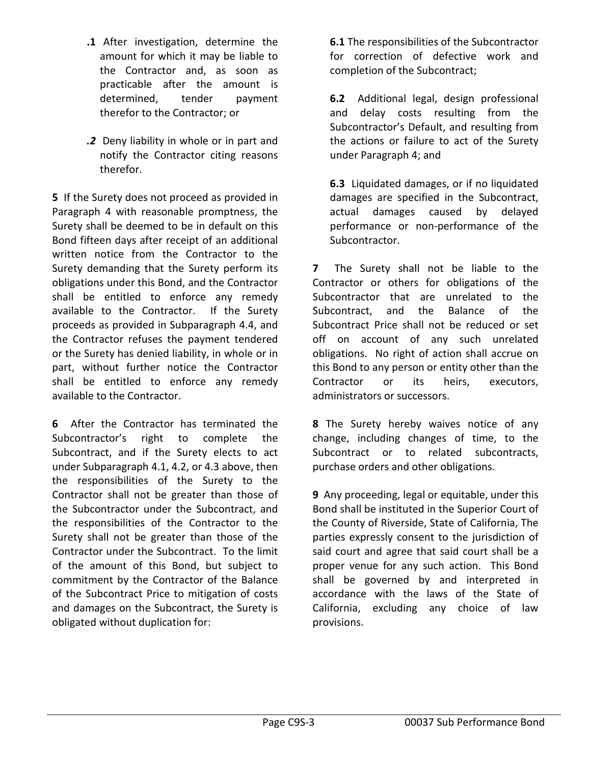- **.1** After investigation, determine the amount for which it may be liable to the Contractor and, as soon as practicable after the amount is determined, tender payment therefor to the Contractor; or
- *.2*Deny liability in whole or in part and notify the Contractor citing reasons therefor.

**5** If the Surety does not proceed as provided in Paragraph 4 with reasonable promptness, the Surety shall be deemed to be in default on this Bond fifteen days after receipt of an additional written notice from the Contractor to the Surety demanding that the Surety perform its obligations under this Bond, and the Contractor shall be entitled to enforce any remedy available to the Contractor. If the Surety proceeds as provided in Subparagraph 4.4, and the Contractor refuses the payment tendered or the Surety has denied liability, in whole or in part, without further notice the Contractor shall be entitled to enforce any remedy available to the Contractor.

**6** After the Contractor has terminated the Subcontractor's right to complete the Subcontract, and if the Surety elects to act under Subparagraph 4.1, 4.2, or 4.3 above, then the responsibilities of the Surety to the Contractor shall not be greater than those of the Subcontractor under the Subcontract, and the responsibilities of the Contractor to the Surety shall not be greater than those of the Contractor under the Subcontract. To the limit of the amount of this Bond, but subject to commitment by the Contractor of the Balance of the Subcontract Price to mitigation of costs and damages on the Subcontract, the Surety is obligated without duplication for:

**6.1** The responsibilities of the Subcontractor for correction of defective work and completion of the Subcontract;

**6.2** Additional legal, design professional and delay costs resulting from the Subcontractor's Default, and resulting from the actions or failure to act of the Surety under Paragraph 4; and

**6.3** Liquidated damages, or if no liquidated damages are specified in the Subcontract, actual damages caused by delayed performance or non-performance of the Subcontractor.

**7** The Surety shall not be liable to the Contractor or others for obligations of the Subcontractor that are unrelated to the Subcontract, and the Balance of the Subcontract Price shall not be reduced or set off on account of any such unrelated obligations. No right of action shall accrue on this Bond to any person or entity other than the Contractor or its heirs, executors, administrators or successors.

**8** The Surety hereby waives notice of any change, including changes of time, to the Subcontract or to related subcontracts, purchase orders and other obligations.

**9** Any proceeding, legal or equitable, under this Bond shall be instituted in the Superior Court of the County of Riverside, State of California, The parties expressly consent to the jurisdiction of said court and agree that said court shall be a proper venue for any such action. This Bond shall be governed by and interpreted in accordance with the laws of the State of California, excluding any choice of law provisions.